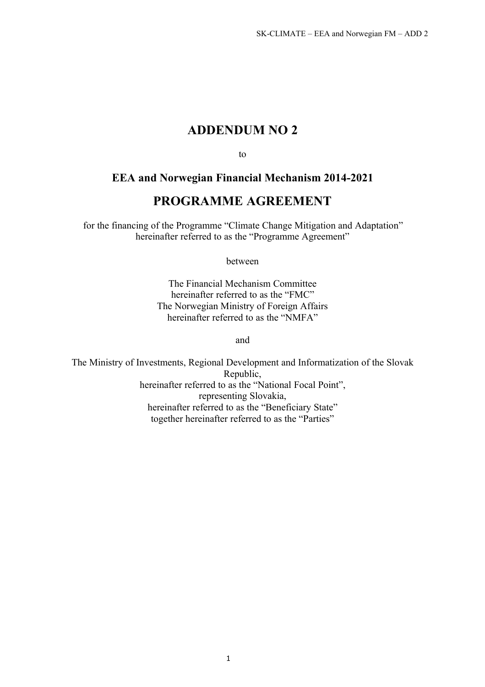# **ADDENDUM NO 2**

to

# **EEA and Norwegian Financial Mechanism 2014-2021**

# **PROGRAMME AGREEMENT**

for the financing of the Programme "Climate Change Mitigation and Adaptation" hereinafter referred to as the "Programme Agreement"

between

The Financial Mechanism Committee hereinafter referred to as the "FMC" The Norwegian Ministry of Foreign Affairs hereinafter referred to as the "NMFA"

and

The Ministry of Investments, Regional Development and Informatization of the Slovak Republic, hereinafter referred to as the "National Focal Point", representing Slovakia, hereinafter referred to as the "Beneficiary State" together hereinafter referred to as the "Parties"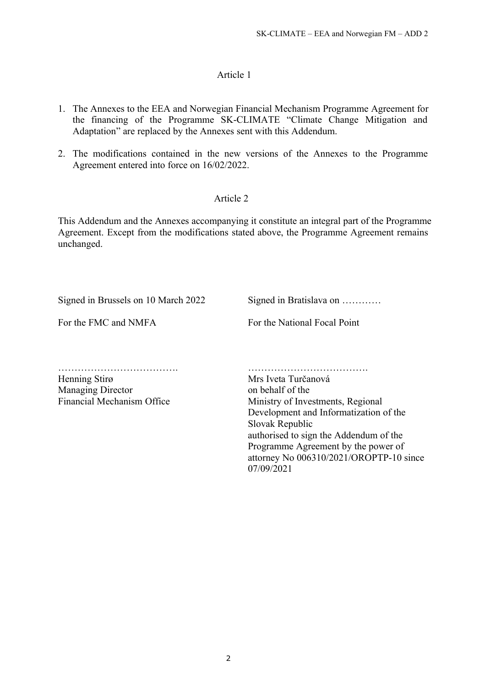# Article 1

- 1 . The Annexes to the EEA and Norwegian Financial Mechanism Programme Agreement for the financing of the Programme SK-CLIMATE "Climate Change Mitigation and Adaptation" are replaced by the Annexes sent with this Addendum.
- 2 . The modifications contained in the new versions of the Annexes to the Programme Agreement entered into force on 16/02/2022.

# Article 2

This Addendum and the Annexes accompanying it constitute an integral part of the Programme Agreement. Except from the modifications stated above, the Programme Agreement remains unchanged.

Signed in Brussels on 10 March 2022

Signed in Bratislava on …………

For the FMC and NMFA

For the National Focal Point

………………………………. ……………………………….

Henning Stirø Mrs Iveta Turčanová Managing Director Financial Mechanism Office

on behalf of the Ministry of Investments, Regional Development and Informatization of the Slovak Republic authorised to sign the Addendum of the Programme Agreement by the power of attorney No 006310/2021/OROPTP-10 since 07/09/2021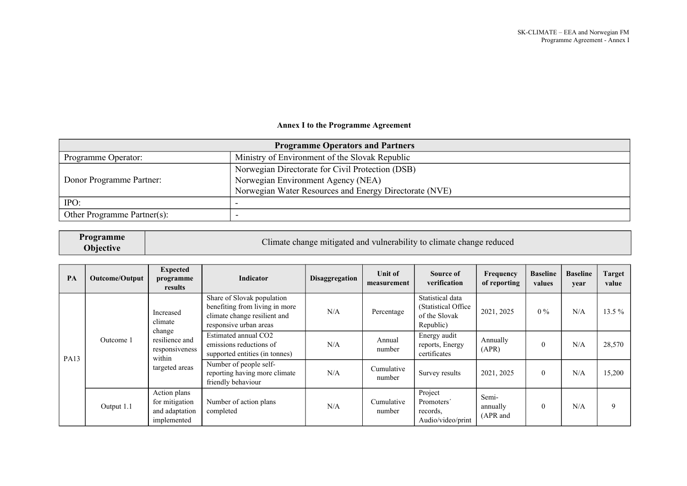#### **Annex I to the Programme Agreement**

| <b>Programme Operators and Partners</b> |                                                        |  |  |
|-----------------------------------------|--------------------------------------------------------|--|--|
| Programme Operator:                     | Ministry of Environment of the Slovak Republic         |  |  |
|                                         | Norwegian Directorate for Civil Protection (DSB)       |  |  |
| Donor Programme Partner:                | Norwegian Environment Agency (NEA)                     |  |  |
|                                         | Norwegian Water Resources and Energy Directorate (NVE) |  |  |
| IPO:                                    |                                                        |  |  |
| Other Programme Partner(s):             |                                                        |  |  |

| Programme<br>Objective | Climate change mitigated and vulnerability to climate change reduced |
|------------------------|----------------------------------------------------------------------|
|------------------------|----------------------------------------------------------------------|

| PA | <b>Outcome/Output</b>                                                                                                      | <b>Expected</b><br>programme<br>results                                       | Indicator                                                                                                              | <b>Disaggregation</b> | <b>Unit of</b><br>measurement | Source of<br>verification                                              | Frequency<br>of reporting     | <b>Baseline</b><br>values | <b>Baseline</b><br>year | Target<br>value |
|----|----------------------------------------------------------------------------------------------------------------------------|-------------------------------------------------------------------------------|------------------------------------------------------------------------------------------------------------------------|-----------------------|-------------------------------|------------------------------------------------------------------------|-------------------------------|---------------------------|-------------------------|-----------------|
|    | Increased<br>climate<br>change<br>resilience and<br>Outcome 1<br>responsiveness<br>within<br><b>PA13</b><br>targeted areas |                                                                               | Share of Slovak population<br>benefiting from living in more<br>climate change resilient and<br>responsive urban areas | N/A                   | Percentage                    | Statistical data<br>(Statistical Office)<br>of the Slovak<br>Republic) | 2021, 2025                    | $0\%$                     | N/A                     | $13.5\%$        |
|    |                                                                                                                            |                                                                               | Estimated annual CO2<br>emissions reductions of<br>supported entities (in tonnes)                                      | N/A                   | Annual<br>number              | Energy audit<br>reports, Energy<br>certificates                        | Annually<br>(APR)             | $\theta$                  | N/A                     | 28,570          |
|    |                                                                                                                            | Number of people self-<br>reporting having more climate<br>friendly behaviour | N/A                                                                                                                    | Cumulative<br>number  | Survey results                | 2021, 2025                                                             | $\theta$                      | N/A                       | 15,200                  |                 |
|    | Output 1.1                                                                                                                 | Action plans<br>for mitigation<br>and adaptation<br>implemented               | Number of action plans<br>completed                                                                                    | N/A                   | Cumulative<br>number          | Project<br>Promoters'<br>records,<br>Audio/video/print                 | Semi-<br>annually<br>(APR and | $\theta$                  | N/A                     | 9               |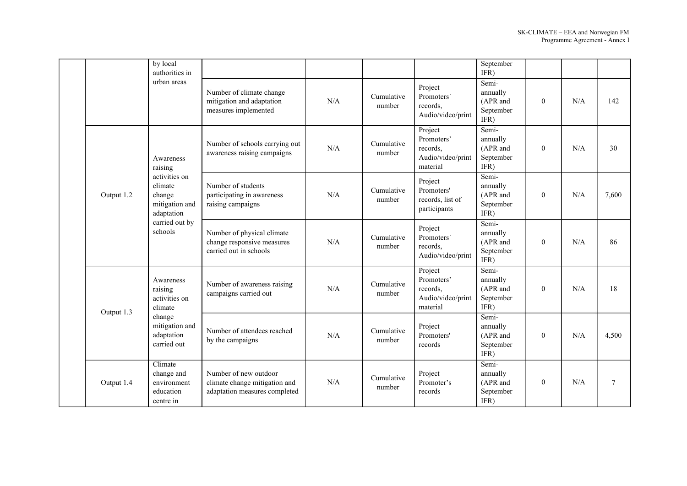|            | by local<br>authorities in                                                                                                                                           |                                                                                         |     |                      |                                                                    | September<br>IFR)                                  |              |     |        |
|------------|----------------------------------------------------------------------------------------------------------------------------------------------------------------------|-----------------------------------------------------------------------------------------|-----|----------------------|--------------------------------------------------------------------|----------------------------------------------------|--------------|-----|--------|
|            | urban areas                                                                                                                                                          | Number of climate change<br>mitigation and adaptation<br>measures implemented           | N/A | Cumulative<br>number | Project<br>Promoters'<br>records.<br>Audio/video/print             | Semi-<br>annually<br>(APR and<br>September<br>IFR) | $\mathbf{0}$ | N/A | 142    |
|            | Awareness<br>raising                                                                                                                                                 | Number of schools carrying out<br>awareness raising campaigns                           | N/A | Cumulative<br>number | Project<br>Promoters'<br>records,<br>Audio/video/print<br>material | Semi-<br>annually<br>(APR and<br>September<br>IFR) | $\theta$     | N/A | 30     |
| Output 1.2 | activities on<br>climate<br>Number of students<br>change<br>mitigation and<br>raising campaigns<br>adaptation<br>carried out by<br>schools<br>carried out in schools | participating in awareness                                                              | N/A | Cumulative<br>number | Project<br>Promoters'<br>records, list of<br>participants          | Semi-<br>annually<br>(APR and<br>September<br>IFR) | $\mathbf{0}$ | N/A | 7,600  |
|            |                                                                                                                                                                      | Number of physical climate<br>change responsive measures                                | N/A | Cumulative<br>number | Project<br>Promoters'<br>records,<br>Audio/video/print             | Semi-<br>annually<br>(APR and<br>September<br>IFR) | $\theta$     | N/A | 86     |
|            | Awareness<br>raising<br>activities on<br>climate                                                                                                                     | Number of awareness raising<br>campaigns carried out                                    | N/A | Cumulative<br>number | Project<br>Promoters'<br>records,<br>Audio/video/print<br>material | Semi-<br>annually<br>(APR and<br>September<br>IFR) | $\mathbf{0}$ | N/A | 18     |
| Output 1.3 | change<br>mitigation and<br>adaptation<br>carried out                                                                                                                | Number of attendees reached<br>by the campaigns                                         | N/A | Cumulative<br>number | Project<br>Promoters'<br>records                                   | Semi-<br>annually<br>(APR and<br>September<br>IFR) | $\mathbf{0}$ | N/A | 4,500  |
| Output 1.4 | Climate<br>change and<br>environment<br>education<br>centre in                                                                                                       | Number of new outdoor<br>climate change mitigation and<br>adaptation measures completed | N/A | Cumulative<br>number | Project<br>Promoter's<br>records                                   | Semi-<br>annually<br>(APR and<br>September<br>IFR) | $\mathbf{0}$ | N/A | $\tau$ |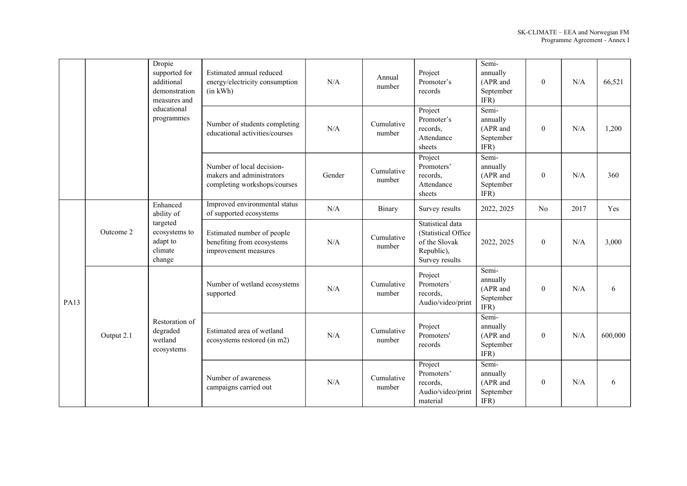|             |            | Dropie<br>supported for<br>additional<br>demonstration<br>measures and<br>educational<br>programmes             | Estimated annual reduced<br>energy/electricity consumption<br>(in kWh)                 | N/A                  | Annual<br>number                 | Project<br>Promoter's<br>records                                                         | Semi-<br>annually<br>(APR and<br>September<br>IFR) | $\overline{0}$ | N/A     | 66,521 |
|-------------|------------|-----------------------------------------------------------------------------------------------------------------|----------------------------------------------------------------------------------------|----------------------|----------------------------------|------------------------------------------------------------------------------------------|----------------------------------------------------|----------------|---------|--------|
|             |            |                                                                                                                 | Number of students completing<br>educational activities/courses                        | N/A                  | Cumulative<br>number             | Project<br>Promoter's<br>records,<br>Attendance<br>sheets                                | Semi-<br>annually<br>(APR and<br>September<br>IFR) | $\theta$       | N/A     | 1,200  |
|             |            |                                                                                                                 | Number of local decision-<br>makers and administrators<br>completing workshops/courses | Gender               | Cumulative<br>number             | Project<br>Promoters'<br>records,<br>Attendance<br>sheets                                | Semi-<br>annually<br>(APR and<br>September<br>IFR) | $\mathbf{0}$   | N/A     | 360    |
|             |            | Enhanced<br>ability of                                                                                          | Improved environmental status<br>of supported ecosystems                               | N/A                  | Binary                           | Survey results                                                                           | 2022, 2025                                         | N <sub>o</sub> | 2017    | Yes    |
|             | Outcome 2  | targeted<br>ecosystems to<br>adapt to<br>climate<br>change                                                      | Estimated number of people<br>benefiting from ecosystems<br>improvement measures       | N/A                  | Cumulative<br>number             | Statistical data<br>(Statistical Office<br>of the Slovak<br>Republic),<br>Survey results | 2022, 2025                                         | $\mathbf{0}$   | N/A     | 3,000  |
| <b>PA13</b> |            |                                                                                                                 | Number of wetland ecosystems<br>supported                                              | N/A                  | Cumulative<br>number             | Project<br>Promoters'<br>records.<br>Audio/video/print                                   | Semi-<br>annually<br>(APR and<br>September<br>IFR) | $\theta$       | N/A     | 6      |
|             | Output 2.1 | Restoration of<br>degraded<br>Estimated area of wetland<br>wetland<br>ecosystems restored (in m2)<br>ecosystems | N/A                                                                                    | Cumulative<br>number | Project<br>Promoters'<br>records | Semi-<br>annually<br>(APR and<br>September<br>IFR)                                       | $\mathbf{0}$                                       | N/A            | 600,000 |        |
|             |            |                                                                                                                 | Number of awareness<br>campaigns carried out                                           | N/A                  | Cumulative<br>number             | Project<br>Promoters'<br>records,<br>Audio/video/print<br>material                       | Semi-<br>annually<br>(APR and<br>September<br>IFR) | $\mathbf{0}$   | N/A     | 6      |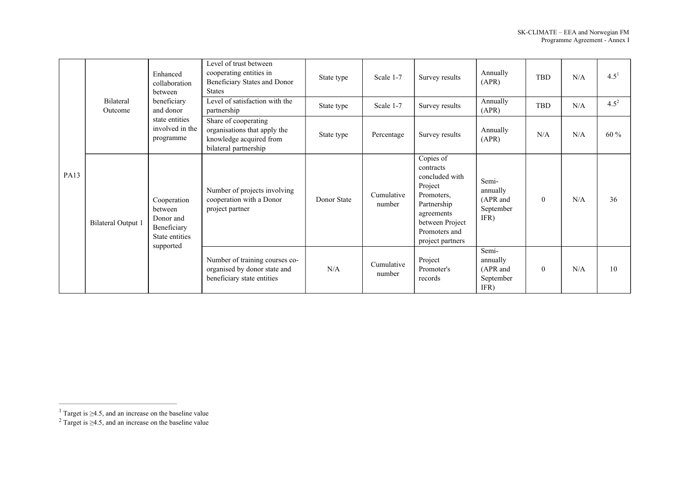|             | Enhanced<br>between         | collaboration                                                                                                                                                                                  | Level of trust between<br>cooperating entities in<br>Beneficiary States and Donor<br><b>States</b>       | State type  | Scale 1-7            | Survey results                                                                                                                                         | Annually<br>(APR)                                  | TBD            | N/A | $4.5^{1}$ |
|-------------|-----------------------------|------------------------------------------------------------------------------------------------------------------------------------------------------------------------------------------------|----------------------------------------------------------------------------------------------------------|-------------|----------------------|--------------------------------------------------------------------------------------------------------------------------------------------------------|----------------------------------------------------|----------------|-----|-----------|
|             | <b>Bilateral</b><br>Outcome | beneficiary<br>and donor                                                                                                                                                                       | Level of satisfaction with the<br>partnership                                                            | State type  | Scale 1-7            | Survey results                                                                                                                                         | Annually<br>(APR)                                  | TBD            | N/A | $4.5^{2}$ |
| <b>PA13</b> |                             | state entities<br>involved in the<br>programme                                                                                                                                                 | Share of cooperating<br>organisations that apply the<br>knowledge acquired from<br>bilateral partnership | State type  | Percentage           | Survey results                                                                                                                                         | Annually<br>(APR)                                  | N/A            | N/A | 60 %      |
|             | <b>Bilateral Output 1</b>   | cooperation with a Donor<br>Cooperation<br>project partner<br>between<br>Donor and<br>Beneficiary<br>State entities<br>supported<br>organised by donor state and<br>beneficiary state entities | Number of projects involving                                                                             | Donor State | Cumulative<br>number | Copies of<br>contracts<br>concluded with<br>Project<br>Promoters,<br>Partnership<br>agreements<br>between Project<br>Promoters and<br>project partners | Semi-<br>annually<br>(APR and<br>September<br>IFR) | $\theta$       | N/A | 36        |
|             |                             |                                                                                                                                                                                                | Number of training courses co-                                                                           | N/A         | Cumulative<br>number | Project<br>Promoter's<br>records                                                                                                                       | Semi-<br>annually<br>(APR and<br>September<br>IFR) | $\overline{0}$ | N/A | 10        |

<sup>1</sup> <sup>1</sup> Target is  $\geq$ 4.5, and an increase on the baseline value

Target is  $\geq$ 4.5, and an increase on the baseline value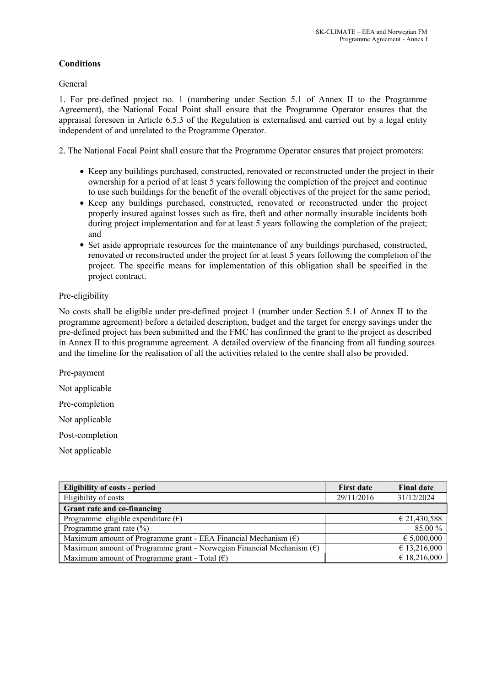# **Conditions**

General

1. For pre-defined project no. 1 (numbering under Section 5.1 of Annex II to the Programme Agreement), the National Focal Point shall ensure that the Programme Operator ensures that the appraisal foreseen in Article 6.5.3 of the Regulation is externalised and carried out by a legal entity independent of and unrelated to the Programme Operator.

2. The National Focal Point shall ensure that the Programme Operator ensures that project promoters:

- Keep any buildings purchased, constructed, renovated or reconstructed under the project in their ownership for a period of at least 5 years following the completion of the project and continue to use such buildings for the benefit of the overall objectives of the project for the same period;
- Keep any buildings purchased, constructed, renovated or reconstructed under the project properly insured against losses such as fire, theft and other normally insurable incidents both during project implementation and for at least 5 years following the completion of the project; and
- Set aside appropriate resources for the maintenance of any buildings purchased, constructed, renovated or reconstructed under the project for at least 5 years following the completion of the project. The specific means for implementation of this obligation shall be specified in the project contract.

# Pre-eligibility

No costs shall be eligible under pre-defined project 1 (number under Section 5.1 of Annex II to the programme agreement) before a detailed description, budget and the target for energy savings under the pre-defined project has been submitted and the FMC has confirmed the grant to the project as described in Annex II to this programme agreement. A detailed overview of the financing from all funding sources and the timeline for the realisation of all the activities related to the centre shall also be provided.

Pre-payment Not applicable Pre-completion Not applicable Post-completion Not applicable

**Eligibility of costs - period Final date Final date Final date Final date Final date Final date** Eligibility of costs 29/11/2016 29/11/2016 31/12/2024 **Grant rate and co-financing** Programme eligible expenditure  $(\epsilon)$ Programme grant rate (%) € 21,430,588 85.00 % Maximum amount of Programme grant - EEA Financial Mechanism  $(\epsilon)$ Maximum amount of Programme grant - Norwegian Financial Mechanism  $(\epsilon)$ Maximum amount of Programme grant - Total  $(\epsilon)$ € 5,000,000  $\overline{6}$  13,216,000 € 18,216,000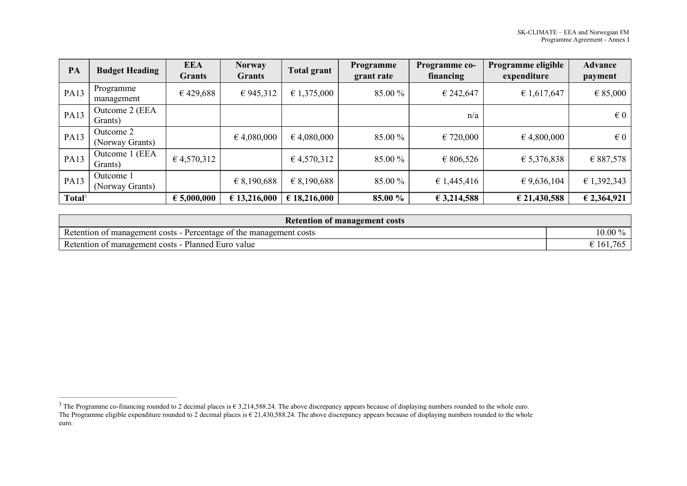| PA                 | <b>Budget Heading</b>        | <b>EEA</b><br><b>Grants</b> | <b>Norway</b><br><b>Grants</b> | <b>Total grant</b>   | Programme<br>grant rate | Programme co-<br>financing | Programme eligible<br>expenditure | <b>Advance</b><br>payment |
|--------------------|------------------------------|-----------------------------|--------------------------------|----------------------|-------------------------|----------------------------|-----------------------------------|---------------------------|
| <b>PA13</b>        | Programme<br>management      | €429,688                    | € 945,312                      | $\epsilon$ 1,375,000 | 85.00 %                 | € 242,647                  | € 1,617,647                       | $\epsilon$ 85,000         |
| <b>PA13</b>        | Outcome 2 (EEA<br>Grants)    |                             |                                |                      |                         | n/a                        |                                   | $\in 0$                   |
| <b>PA13</b>        | Outcome 2<br>(Norway Grants) |                             | $\epsilon$ 4,080,000           | $\epsilon$ 4,080,000 | 85.00 %                 | € 720,000                  | $\epsilon$ 4,800,000              | $\in 0$                   |
| <b>PA13</b>        | Outcome 1 (EEA<br>Grants)    | 64,570,312                  |                                | 64,570,312           | 85.00 %                 | € 806,526                  | € 5,376,838                       | € 887,578                 |
| <b>PA13</b>        | Outcome 1<br>(Norway Grants) |                             | € 8,190,688                    | $\epsilon$ 8,190,688 | 85.00 %                 | € 1,445,416                | € 9,636,104                       | € 1,392,343               |
| Total <sup>3</sup> |                              | € 5,000,000                 | € 13,216,000                   | € 18,216,000         | 85.00 %                 | €3,214,588                 | € 21,430,588                      | € 2,364,921               |

| <b>Retention of management costs</b>                                    |                           |
|-------------------------------------------------------------------------|---------------------------|
| Retention of<br>t management costs - Percentage of the management costs | 0.00<br>$\frac{9}{2}$     |
| Retention of management costs - Planned Euro value                      | $\pm 161.$<br><u>∵∪ ∪</u> |

<sup>&</sup>lt;sup>3</sup> The Programme co-financing rounded to 2 decimal places is  $\epsilon$  3,214,588.24. The above discrepancy appears because of displaying numbers rounded to the whole euro. The Programme eligible expenditure rounded to 2 decimal places is  $\epsilon$  21,430,588.24. The above discrepancy appears because of displaying numbers rounded to the whole euro.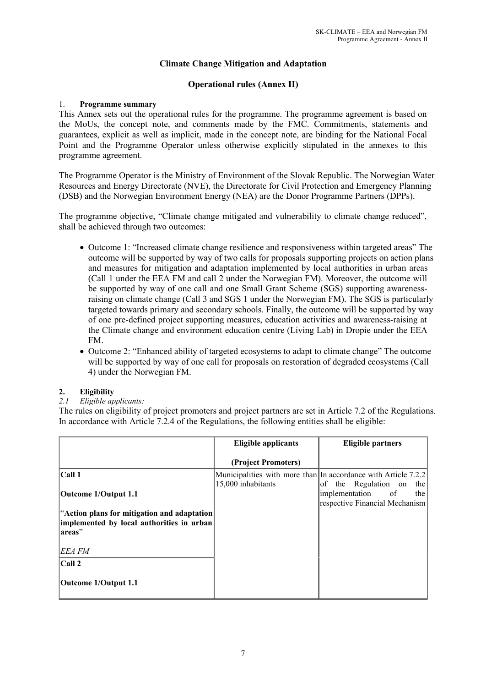# **Climate Change Mitigation and Adaptation**

# **Operational rules (Annex II)**

#### 1. **Programme summary**

This Annex sets out the operational rules for the programme. The programme agreement is based on the MoUs, the concept note, and comments made by the FMC. Commitments, statements and guarantees, explicit as well as implicit, made in the concept note, are binding for the National Focal Point and the Programme Operator unless otherwise explicitly stipulated in the annexes to this programme agreement.

The Programme Operator is the Ministry of Environment of the Slovak Republic. The Norwegian Water Resources and Energy Directorate (NVE), the Directorate for Civil Protection and Emergency Planning (DSB) and the Norwegian Environment Energy (NEA) are the Donor Programme Partners (DPPs).

The programme objective, "Climate change mitigated and vulnerability to climate change reduced", shall be achieved through two outcomes:

- Outcome 1: "Increased climate change resilience and responsiveness within targeted areas" The outcome will be supported by way of two calls for proposals supporting projects on action plans and measures for mitigation and adaptation implemented by local authorities in urban areas (Call 1 under the EEA FM and call 2 under the Norwegian FM). Moreover, the outcome will be supported by way of one call and one Small Grant Scheme (SGS) supporting awarenessraising on climate change (Call 3 and SGS 1 under the Norwegian FM). The SGS is particularly targeted towards primary and secondary schools. Finally, the outcome will be supported by way of one pre-defined project supporting measures, education activities and awareness-raising at the Climate change and environment education centre (Living Lab) in Dropie under the EEA FM.
- Outcome 2: "Enhanced ability of targeted ecosystems to adapt to climate change" The outcome will be supported by way of one call for proposals on restoration of degraded ecosystems (Call 4) under the Norwegian FM.

# **2. Eligibility**

#### *2.1 Eligible applicants:*

The rules on eligibility of project promoters and project partners are set in Article 7.2 of the Regulations. In accordance with Article 7.2.4 of the Regulations, the following entities shall be eligible:

|                                             | <b>Eligible applicants</b> | <b>Eligible partners</b>                                       |
|---------------------------------------------|----------------------------|----------------------------------------------------------------|
|                                             | (Project Promoters)        |                                                                |
| $ $ Call 1                                  |                            | Municipalities with more than In accordance with Article 7.2.2 |
|                                             | 15,000 inhabitants         | of the Regulation on<br>the                                    |
| Outcome 1/Output 1.1                        |                            | implementation of<br>the                                       |
|                                             |                            | respective Financial Mechanism                                 |
| "Action plans for mitigation and adaptation |                            |                                                                |
| implemented by local authorities in urban   |                            |                                                                |
| areas"                                      |                            |                                                                |
| EEA FM                                      |                            |                                                                |
| $ $ Call 2                                  |                            |                                                                |
| Outcome 1/Output 1.1                        |                            |                                                                |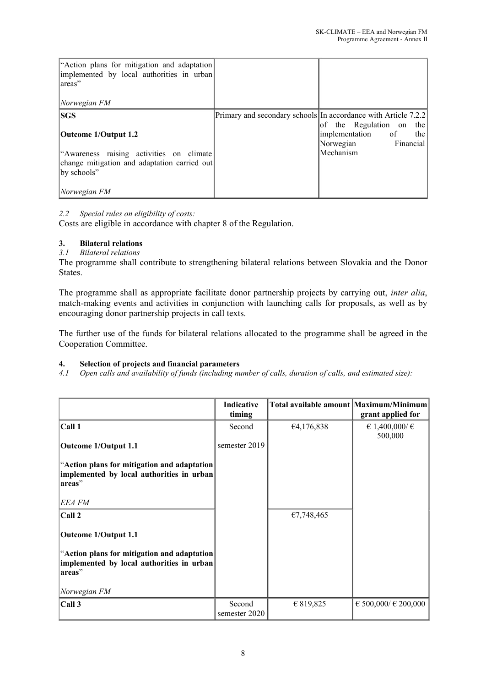| "Action plans for mitigation and adaptation<br>implemented by local authorities in urban<br>lareas"<br> Norwegian FM |                                                                |
|----------------------------------------------------------------------------------------------------------------------|----------------------------------------------------------------|
|                                                                                                                      |                                                                |
| <b>SGS</b>                                                                                                           | Primary and secondary schools In accordance with Article 7.2.2 |
|                                                                                                                      | of the Regulation on the                                       |
| Outcome 1/Output 1.2                                                                                                 | implementation of<br>the                                       |
|                                                                                                                      | Financial<br>Norwegian                                         |
| "Awareness raising activities on climate                                                                             | Mechanism                                                      |
| change mitigation and adaptation carried out                                                                         |                                                                |
| by schools"                                                                                                          |                                                                |
|                                                                                                                      |                                                                |
| Norwegian FM                                                                                                         |                                                                |

#### *2.2 Special rules on eligibility of costs:*

Costs are eligible in accordance with chapter 8 of the Regulation.

# **3. Bilateral relations**

# *3.1 Bilateral relations*

The programme shall contribute to strengthening bilateral relations between Slovakia and the Donor States.

The programme shall as appropriate facilitate donor partnership projects by carrying out, *inter alia*, match-making events and activities in conjunction with launching calls for proposals, as well as by encouraging donor partnership projects in call texts.

The further use of the funds for bilateral relations allocated to the programme shall be agreed in the Cooperation Committee.

#### **4. Selection of projects and financial parameters**

*4.1 Open calls and availability of funds (including number of calls, duration of calls, and estimated size):*

|                                                                                                    | Indicative<br>timing    | Total available amount Maximum/Minimum | grant applied for            |
|----------------------------------------------------------------------------------------------------|-------------------------|----------------------------------------|------------------------------|
| Call 1                                                                                             | Second                  | 64,176,838                             | € 1,400,000/ $∈$<br>500,000  |
| Outcome 1/Output 1.1                                                                               | semester 2019           |                                        |                              |
| "Action plans for mitigation and adaptation<br>implemented by local authorities in urban<br>areas" |                         |                                        |                              |
| EEA FM                                                                                             |                         |                                        |                              |
| Call 2                                                                                             |                         | €7,748,465                             |                              |
| Outcome 1/Output 1.1                                                                               |                         |                                        |                              |
| "Action plans for mitigation and adaptation<br>implemented by local authorities in urban<br>areas" |                         |                                        |                              |
| Norwegian FM                                                                                       |                         |                                        |                              |
| Call 3                                                                                             | Second<br>semester 2020 | € 819,825                              | $\in$ 500,000/ $\in$ 200,000 |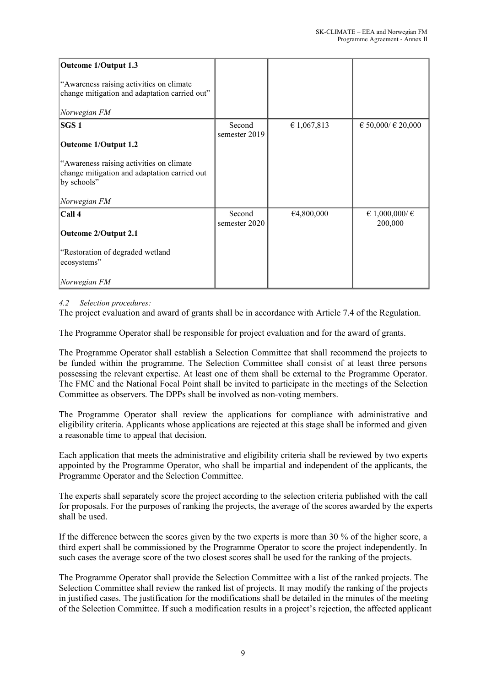| Outcome 1/Output 1.3                                        |                         |             |                    |
|-------------------------------------------------------------|-------------------------|-------------|--------------------|
| "Awareness raising activities on climate                    |                         |             |                    |
| change mitigation and adaptation carried out"               |                         |             |                    |
| Norwegian FM                                                |                         |             |                    |
| SGS <sub>1</sub>                                            | Second<br>semester 2019 | € 1,067,813 | € 50,000/ € 20,000 |
| Outcome 1/Output 1.2                                        |                         |             |                    |
|                                                             |                         |             |                    |
| "Awareness raising activities on climate                    |                         |             |                    |
| change mitigation and adaptation carried out<br>by schools" |                         |             |                    |
|                                                             |                         |             |                    |
| Norwegian FM                                                |                         |             |                    |
| $ $ Call 4                                                  | Second                  | €4,800,000  | € 1,000,000/ $∈$   |
|                                                             | semester 2020           |             | 200,000            |
| Outcome 2/Output 2.1                                        |                         |             |                    |
| "Restoration of degraded wetland                            |                         |             |                    |
| ecosystems"                                                 |                         |             |                    |
|                                                             |                         |             |                    |
| Norwegian FM                                                |                         |             |                    |

# *4.2 Selection procedures:*

The project evaluation and award of grants shall be in accordance with Article 7.4 of the Regulation.

The Programme Operator shall be responsible for project evaluation and for the award of grants.

The Programme Operator shall establish a Selection Committee that shall recommend the projects to be funded within the programme. The Selection Committee shall consist of at least three persons possessing the relevant expertise. At least one of them shall be external to the Programme Operator. The FMC and the National Focal Point shall be invited to participate in the meetings of the Selection Committee as observers. The DPPs shall be involved as non-voting members.

The Programme Operator shall review the applications for compliance with administrative and eligibility criteria. Applicants whose applications are rejected at this stage shall be informed and given a reasonable time to appeal that decision.

Each application that meets the administrative and eligibility criteria shall be reviewed by two experts appointed by the Programme Operator, who shall be impartial and independent of the applicants, the Programme Operator and the Selection Committee.

The experts shall separately score the project according to the selection criteria published with the call for proposals. For the purposes of ranking the projects, the average of the scores awarded by the experts shall be used.

If the difference between the scores given by the two experts is more than 30 % of the higher score, a third expert shall be commissioned by the Programme Operator to score the project independently. In such cases the average score of the two closest scores shall be used for the ranking of the projects.

The Programme Operator shall provide the Selection Committee with a list of the ranked projects. The Selection Committee shall review the ranked list of projects. It may modify the ranking of the projects in justified cases. The justification for the modifications shall be detailed in the minutes of the meeting of the Selection Committee. If such a modification results in a project's rejection, the affected applicant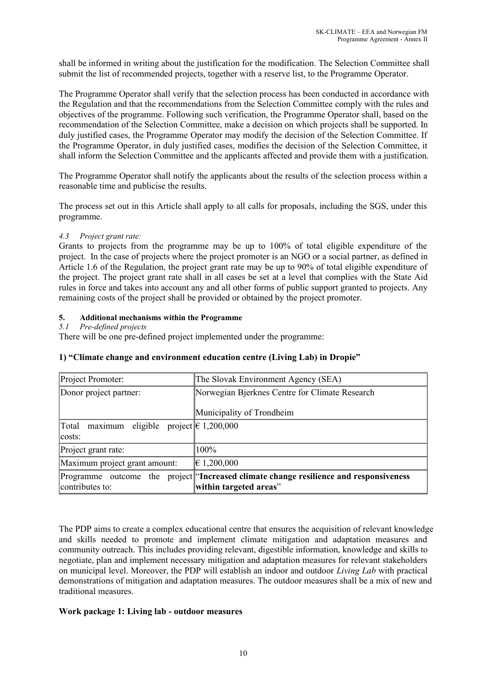shall be informed in writing about the justification for the modification. The Selection Committee shall submit the list of recommended projects, together with a reserve list, to the Programme Operator.

The Programme Operator shall verify that the selection process has been conducted in accordance with the Regulation and that the recommendations from the Selection Committee comply with the rules and objectives of the programme. Following such verification, the Programme Operator shall, based on the recommendation of the Selection Committee, make a decision on which projects shall be supported. In duly justified cases, the Programme Operator may modify the decision of the Selection Committee. If the Programme Operator, in duly justified cases, modifies the decision of the Selection Committee, it shall inform the Selection Committee and the applicants affected and provide them with a justification.

The Programme Operator shall notify the applicants about the results of the selection process within a reasonable time and publicise the results.

The process set out in this Article shall apply to all calls for proposals, including the SGS, under this programme.

#### *4.3 Project grant rate:*

Grants to projects from the programme may be up to 100% of total eligible expenditure of the project. In the case of projects where the project promoter is an NGO or a social partner, as defined in Article 1.6 of the Regulation, the project grant rate may be up to 90% of total eligible expenditure of the project. The project grant rate shall in all cases be set at a level that complies with the State Aid rules in force and takes into account any and all other forms of public support granted to projects. Any remaining costs of the project shall be provided or obtained by the project promoter.

# **5. Additional mechanisms within the Programme**

#### *5.1 Pre-defined projects*

There will be one pre-defined project implemented under the programme:

| Project Promoter:                                           | The Slovak Environment Agency (SEA)                                                                             |  |  |
|-------------------------------------------------------------|-----------------------------------------------------------------------------------------------------------------|--|--|
| Donor project partner:                                      | Norwegian Bjerknes Centre for Climate Research                                                                  |  |  |
|                                                             | Municipality of Trondheim                                                                                       |  |  |
| maximum eligible project $\in$ 1,200,000<br>Total<br>costs: |                                                                                                                 |  |  |
| Project grant rate:                                         | 100%                                                                                                            |  |  |
| Maximum project grant amount:                               | $\in$ 1,200,000                                                                                                 |  |  |
| contributes to:                                             | Programme outcome the project "Increased climate change resilience and responsiveness<br>within targeted areas" |  |  |

#### **1) "Climate change and environment education centre (Living Lab) in Dropie"**

The PDP aims to create a complex educational centre that ensures the acquisition of relevant knowledge and skills needed to promote and implement climate mitigation and adaptation measures and community outreach. This includes providing relevant, digestible information, knowledge and skills to negotiate, plan and implement necessary mitigation and adaptation measures for relevant stakeholders on municipal level. Moreover, the PDP will establish an indoor and outdoor *Living Lab* with practical demonstrations of mitigation and adaptation measures. The outdoor measures shall be a mix of new and traditional measures.

#### **Work package 1: Living lab - outdoor measures**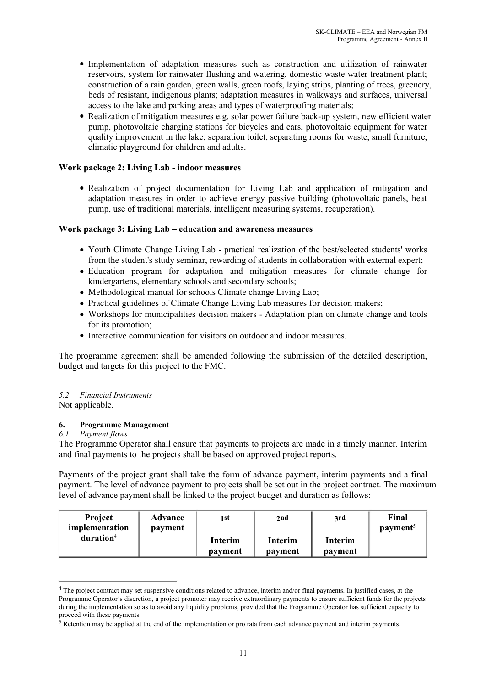- Implementation of adaptation measures such as construction and utilization of rainwater reservoirs, system for rainwater flushing and watering, domestic waste water treatment plant; construction of a rain garden, green walls, green roofs, laying strips, planting of trees, greenery, beds of resistant, indigenous plants; adaptation measures in walkways and surfaces, universal access to the lake and parking areas and types of waterproofing materials;
- Realization of mitigation measures e.g. solar power failure back-up system, new efficient water pump, photovoltaic charging stations for bicycles and cars, photovoltaic equipment for water quality improvement in the lake; separation toilet, separating rooms for waste, small furniture, climatic playground for children and adults.

# **Work package 2: Living Lab - indoor measures**

• Realization of project documentation for Living Lab and application of mitigation and adaptation measures in order to achieve energy passive building (photovoltaic panels, heat pump, use of traditional materials, intelligent measuring systems, recuperation).

# **Work package 3: Living Lab – education and awareness measures**

- Youth Climate Change Living Lab practical realization of the best/selected students' works from the student's study seminar, rewarding of students in collaboration with external expert;
- Education program for adaptation and mitigation measures for climate change for kindergartens, elementary schools and secondary schools;
- Methodological manual for schools Climate change Living Lab;
- Practical guidelines of Climate Change Living Lab measures for decision makers;
- Workshops for municipalities decision makers Adaptation plan on climate change and tools for its promotion;
- Interactive communication for visitors on outdoor and indoor measures.

The programme agreement shall be amended following the submission of the detailed description, budget and targets for this project to the FMC.

#### *5.2 Financial Instruments*

Not applicable.

#### **6. Programme Management**

#### *6.1 Payment flows*

The Programme Operator shall ensure that payments to projects are made in a timely manner. Interim and final payments to the projects shall be based on approved project reports.

Payments of the project grant shall take the form of advance payment, interim payments and a final payment. The level of advance payment to projects shall be set out in the project contract. The maximum level of advance payment shall be linked to the project budget and duration as follows:

| <b>Project</b><br>implementation | <b>Advance</b><br>payment | 1 st               | 2nd                | 3rd                | Final<br>payment <sup>5</sup> |
|----------------------------------|---------------------------|--------------------|--------------------|--------------------|-------------------------------|
| duration <sup>4</sup>            |                           | Interim<br>payment | Interim<br>payment | Interim<br>payment |                               |

<sup>&</sup>lt;sup>4</sup> The project contract may set suspensive conditions related to advance, interim and/or final payments. In justified cases, at the Programme Operator´s discretion, a project promoter may receive extraordinary payments to ensure sufficient funds for the projects during the implementation so as to avoid any liquidity problems, provided that the Programme Operator has sufficient capacity to proceed with these payments.

 $\frac{3}{5}$  Retention may be applied at the end of the implementation or pro rata from each advance payment and interim payments.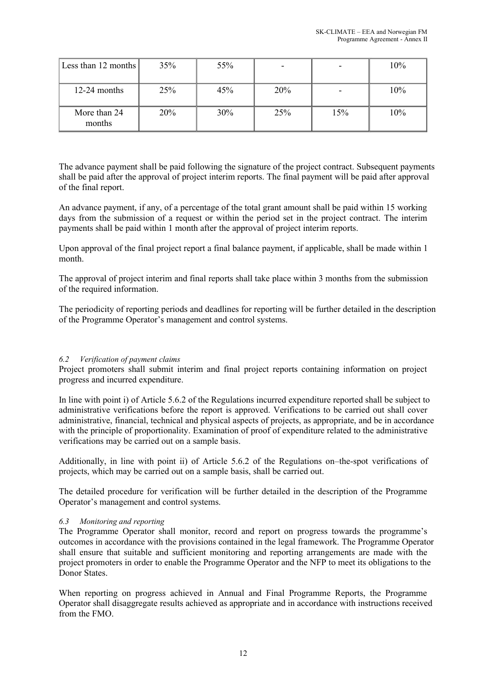| Less than 12 months    | 35%        | 55% | -   |     | 10% |
|------------------------|------------|-----|-----|-----|-----|
| $12-24$ months         | 25%        | 45% | 20% |     | 10% |
| More than 24<br>months | <b>20%</b> | 30% | 25% | 15% | 10% |

The advance payment shall be paid following the signature of the project contract. Subsequent payments shall be paid after the approval of project interim reports. The final payment will be paid after approval of the final report.

An advance payment, if any, of a percentage of the total grant amount shall be paid within 15 working days from the submission of a request or within the period set in the project contract. The interim payments shall be paid within 1 month after the approval of project interim reports.

Upon approval of the final project report a final balance payment, if applicable, shall be made within 1 month.

The approval of project interim and final reports shall take place within 3 months from the submission of the required information.

The periodicity of reporting periods and deadlines for reporting will be further detailed in the description of the Programme Operator's management and control systems.

# *6.2 Verification of payment claims*

Project promoters shall submit interim and final project reports containing information on project progress and incurred expenditure.

In line with point i) of Article 5.6.2 of the Regulations incurred expenditure reported shall be subject to administrative verifications before the report is approved. Verifications to be carried out shall cover administrative, financial, technical and physical aspects of projects, as appropriate, and be in accordance with the principle of proportionality. Examination of proof of expenditure related to the administrative verifications may be carried out on a sample basis.

Additionally, in line with point ii) of Article 5.6.2 of the Regulations on–the-spot verifications of projects, which may be carried out on a sample basis, shall be carried out.

The detailed procedure for verification will be further detailed in the description of the Programme Operator's management and control systems.

#### *6.3 Monitoring and reporting*

The Programme Operator shall monitor, record and report on progress towards the programme's outcomes in accordance with the provisions contained in the legal framework. The Programme Operator shall ensure that suitable and sufficient monitoring and reporting arrangements are made with the project promoters in order to enable the Programme Operator and the NFP to meet its obligations to the Donor States.

When reporting on progress achieved in Annual and Final Programme Reports, the Programme Operator shall disaggregate results achieved as appropriate and in accordance with instructions received from the FMO.